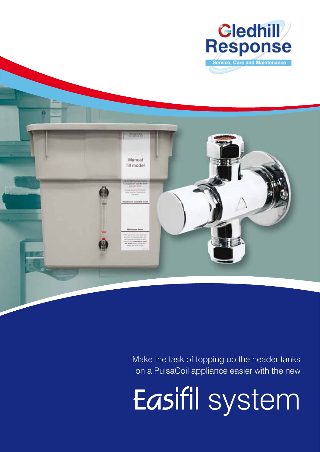



Make the task of topping up the header tanks on a PulsaCoil appliance easier with the new

**Easifil** system